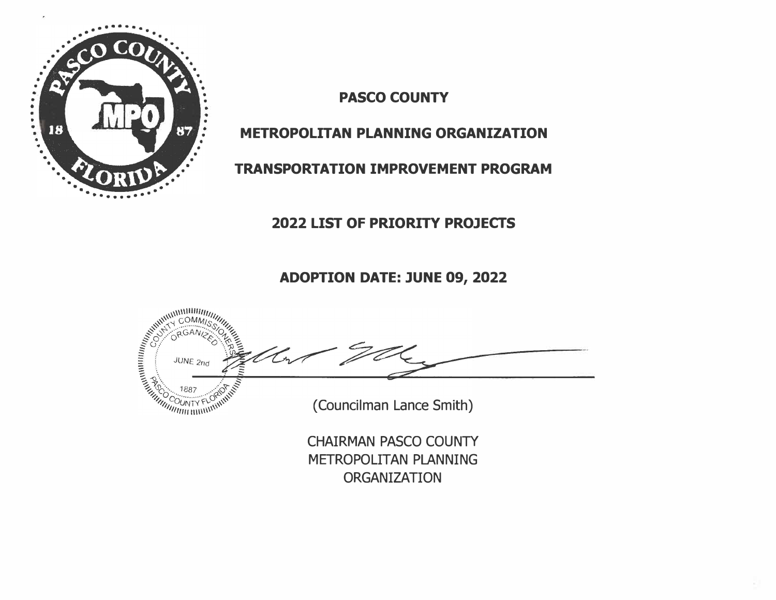

**PASCO COUNTY** 

## **METROPOLITAN PLANNING ORGANIZATION**

# **TRANSPORTATION IMPROVEMENT PROGRAM**

## **2022 LIST OF PRIORITY PROJECTS**

**ADOPTION DATE: JUNE 09, 2022** 



ORGANIZATION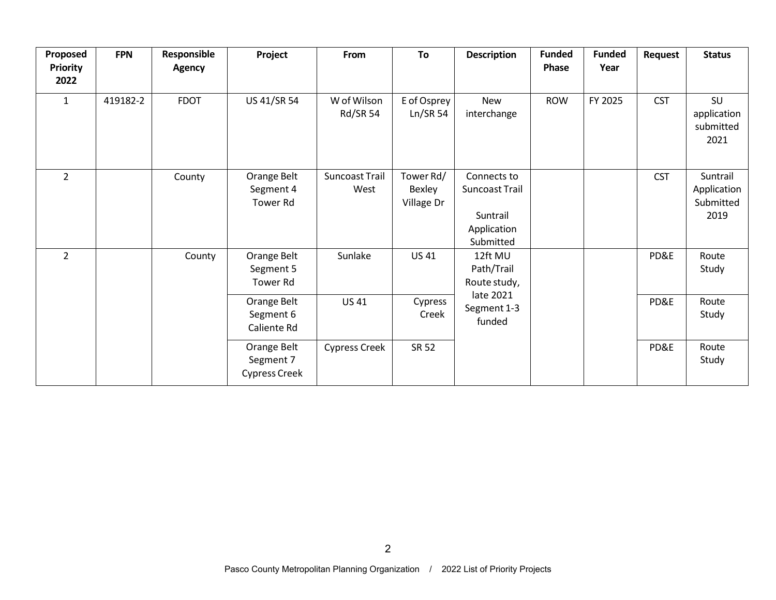| Proposed<br><b>Priority</b><br>2022 | <b>FPN</b>                                                                                       | Responsible<br><b>Agency</b> | Project                                     | From                               | To                                | <b>Description</b>                                                    | <b>Funded</b><br>Phase | <b>Funded</b><br>Year | Request    | <b>Status</b>                                |
|-------------------------------------|--------------------------------------------------------------------------------------------------|------------------------------|---------------------------------------------|------------------------------------|-----------------------------------|-----------------------------------------------------------------------|------------------------|-----------------------|------------|----------------------------------------------|
| $\mathbf{1}$                        | 419182-2                                                                                         | <b>FDOT</b>                  | US 41/SR 54                                 | W of Wilson<br>Rd/SR 54            | E of Osprey<br>Ln/SR 54           | <b>New</b><br>interchange                                             | <b>ROW</b>             | FY 2025               | <b>CST</b> | SU<br>application<br>submitted<br>2021       |
| $\overline{2}$                      |                                                                                                  | County                       | Orange Belt<br>Segment 4<br><b>Tower Rd</b> | Suncoast Trail<br>West             | Tower Rd/<br>Bexley<br>Village Dr | Connects to<br>Suncoast Trail<br>Suntrail<br>Application<br>Submitted |                        |                       | <b>CST</b> | Suntrail<br>Application<br>Submitted<br>2019 |
| $\overline{2}$                      | Orange Belt<br>County<br>Segment 5<br><b>Tower Rd</b><br>Orange Belt<br>Segment 6<br>Caliente Rd |                              |                                             | Sunlake                            | <b>US 41</b>                      | 12ft MU<br>Path/Trail<br>Route study,                                 |                        |                       | PD&E       | Route<br>Study                               |
|                                     |                                                                                                  | <b>US41</b>                  | Cypress<br>Creek                            | late 2021<br>Segment 1-3<br>funded |                                   |                                                                       | PD&E                   | Route<br>Study        |            |                                              |
|                                     |                                                                                                  |                              | Orange Belt<br>Segment 7<br>Cypress Creek   | <b>Cypress Creek</b>               | <b>SR 52</b>                      |                                                                       |                        |                       | PD&E       | Route<br>Study                               |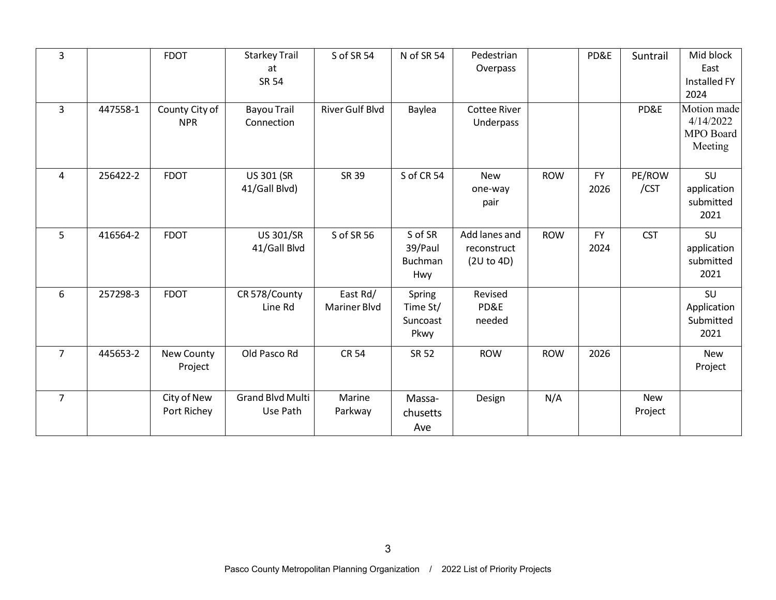| $\overline{3}$ |          | <b>FDOT</b>                  | <b>Starkey Trail</b><br>at<br><b>SR 54</b> | S of SR 54                      | N of SR 54                             | Pedestrian<br>Overpass                     |            | PD&E              | Suntrail              | Mid block<br>East<br>Installed FY<br>2024        |
|----------------|----------|------------------------------|--------------------------------------------|---------------------------------|----------------------------------------|--------------------------------------------|------------|-------------------|-----------------------|--------------------------------------------------|
| $\overline{3}$ | 447558-1 | County City of<br><b>NPR</b> | <b>Bayou Trail</b><br>Connection           | <b>River Gulf Blvd</b>          | Baylea                                 | <b>Cottee River</b><br>Underpass           |            |                   | PD&E                  | Motion made<br>4/14/2022<br>MPO Board<br>Meeting |
| 4              | 256422-2 | <b>FDOT</b>                  | <b>US 301 (SR</b><br>41/Gall Blvd)         | SR 39                           | S of CR 54                             | <b>New</b><br>one-way<br>pair              | <b>ROW</b> | <b>FY</b><br>2026 | PE/ROW<br>/CST        | SU<br>application<br>submitted<br>2021           |
| 5              | 416564-2 | <b>FDOT</b>                  | <b>US 301/SR</b><br>41/Gall Blvd           | S of SR 56                      | S of SR<br>39/Paul<br>Buchman<br>Hwy   | Add lanes and<br>reconstruct<br>(2U to 4D) | <b>ROW</b> | <b>FY</b><br>2024 | <b>CST</b>            | SU<br>application<br>submitted<br>2021           |
| 6              | 257298-3 | <b>FDOT</b>                  | CR 578/County<br>Line Rd                   | East Rd/<br><b>Mariner Blvd</b> | Spring<br>Time St/<br>Suncoast<br>Pkwy | Revised<br>PD&E<br>needed                  |            |                   |                       | SU<br>Application<br>Submitted<br>2021           |
| $\overline{7}$ | 445653-2 | New County<br>Project        | Old Pasco Rd                               | <b>CR 54</b>                    | <b>SR 52</b>                           | <b>ROW</b>                                 | <b>ROW</b> | 2026              |                       | <b>New</b><br>Project                            |
| $\overline{7}$ |          | City of New<br>Port Richey   | <b>Grand Blvd Multi</b><br>Use Path        | Marine<br>Parkway               | Massa-<br>chusetts<br>Ave              | Design                                     | N/A        |                   | <b>New</b><br>Project |                                                  |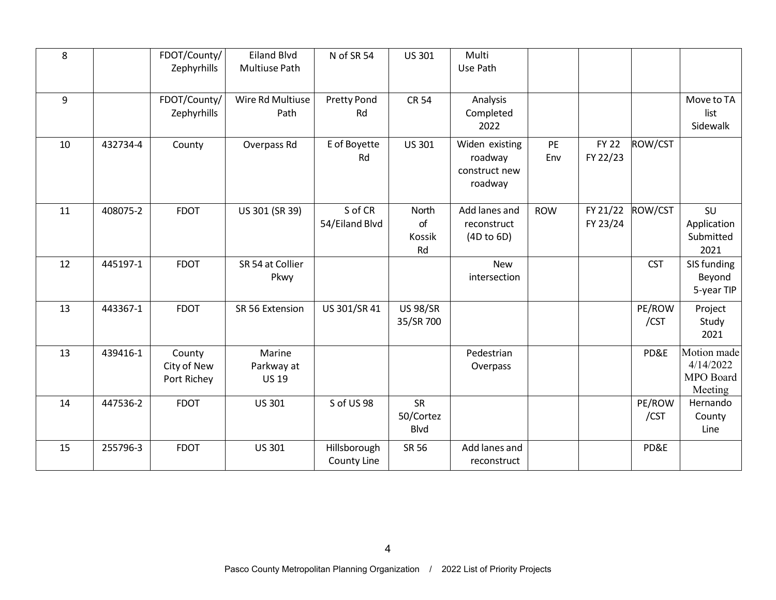| 8  |          | FDOT/County/<br>Zephyrhills          | <b>Eiland Blvd</b><br>Multiuse Path  | N of SR 54                  | US 301                         | Multi<br>Use Path                                     |            |                          |                |                                                  |
|----|----------|--------------------------------------|--------------------------------------|-----------------------------|--------------------------------|-------------------------------------------------------|------------|--------------------------|----------------|--------------------------------------------------|
| 9  |          | FDOT/County/<br>Zephyrhills          | Wire Rd Multiuse<br>Path             | <b>Pretty Pond</b><br>Rd    | <b>CR 54</b>                   | Analysis<br>Completed<br>2022                         |            |                          |                | Move to TA<br>list<br>Sidewalk                   |
| 10 | 432734-4 | County                               | Overpass Rd                          | E of Boyette<br>Rd          | US 301                         | Widen existing<br>roadway<br>construct new<br>roadway | PE<br>Env  | <b>FY 22</b><br>FY 22/23 | ROW/CST        |                                                  |
| 11 | 408075-2 | <b>FDOT</b>                          | US 301 (SR 39)                       | S of CR<br>54/Eiland Blvd   | North<br>of<br>Kossik<br>Rd    | Add lanes and<br>reconstruct<br>(4D to 6D)            | <b>ROW</b> | FY 21/22<br>FY 23/24     | ROW/CST        | SU<br>Application<br>Submitted<br>2021           |
| 12 | 445197-1 | <b>FDOT</b>                          | SR 54 at Collier<br>Pkwy             |                             |                                | New<br>intersection                                   |            |                          | <b>CST</b>     | SIS funding<br>Beyond<br>5-year TIP              |
| 13 | 443367-1 | <b>FDOT</b>                          | SR 56 Extension                      | US 301/SR 41                | <b>US 98/SR</b><br>35/SR 700   |                                                       |            |                          | PE/ROW<br>/CST | Project<br>Study<br>2021                         |
| 13 | 439416-1 | County<br>City of New<br>Port Richey | Marine<br>Parkway at<br><b>US 19</b> |                             |                                | Pedestrian<br>Overpass                                |            |                          | PD&E           | Motion made<br>4/14/2022<br>MPO Board<br>Meeting |
| 14 | 447536-2 | <b>FDOT</b>                          | <b>US 301</b>                        | S of US 98                  | SR<br>50/Cortez<br><b>Blvd</b> |                                                       |            |                          | PE/ROW<br>/CST | Hernando<br>County<br>Line                       |
| 15 | 255796-3 | <b>FDOT</b>                          | <b>US 301</b>                        | Hillsborough<br>County Line | SR 56                          | Add lanes and<br>reconstruct                          |            |                          | PD&E           |                                                  |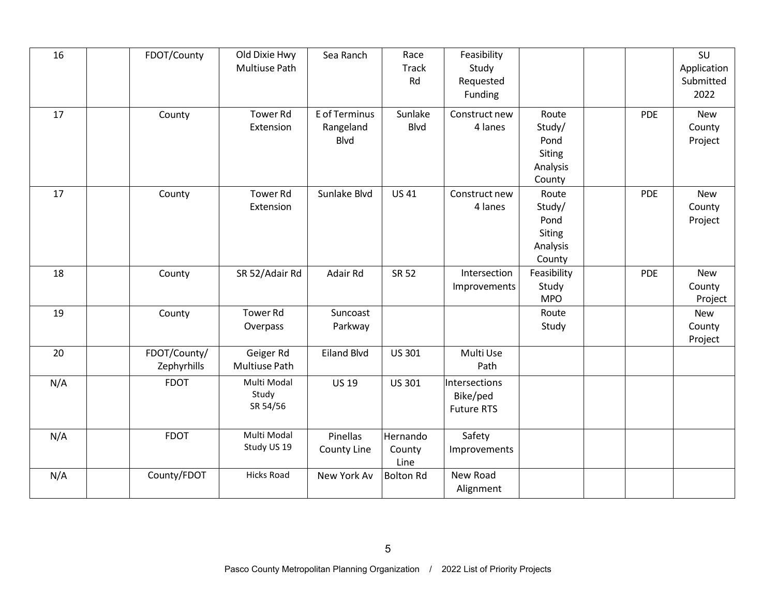| 16  | FDOT/County                 | Old Dixie Hwy<br>Multiuse Path   | Sea Ranch                                 | Race<br><b>Track</b><br>Rd | Feasibility<br>Study<br>Requested<br>Funding   |                                                         |            | SU<br>Application<br>Submitted<br>2022 |
|-----|-----------------------------|----------------------------------|-------------------------------------------|----------------------------|------------------------------------------------|---------------------------------------------------------|------------|----------------------------------------|
| 17  | County                      | <b>Tower Rd</b><br>Extension     | E of Terminus<br>Rangeland<br><b>Blvd</b> | Sunlake<br><b>Blvd</b>     | Construct new<br>4 lanes                       | Route<br>Study/<br>Pond<br>Siting<br>Analysis<br>County | <b>PDE</b> | <b>New</b><br>County<br>Project        |
| 17  | County                      | <b>Tower Rd</b><br>Extension     | Sunlake Blvd                              | <b>US41</b>                | Construct new<br>4 lanes                       | Route<br>Study/<br>Pond<br>Siting<br>Analysis<br>County | <b>PDE</b> | <b>New</b><br>County<br>Project        |
| 18  | County                      | SR 52/Adair Rd                   | Adair Rd                                  | <b>SR 52</b>               | Intersection<br>Improvements                   | Feasibility<br>Study<br><b>MPO</b>                      | <b>PDE</b> | <b>New</b><br>County<br>Project        |
| 19  | County                      | <b>Tower Rd</b><br>Overpass      | Suncoast<br>Parkway                       |                            |                                                | Route<br>Study                                          |            | <b>New</b><br>County<br>Project        |
| 20  | FDOT/County/<br>Zephyrhills | Geiger Rd<br>Multiuse Path       | <b>Eiland Blvd</b>                        | US 301                     | Multi Use<br>Path                              |                                                         |            |                                        |
| N/A | <b>FDOT</b>                 | Multi Modal<br>Study<br>SR 54/56 | <b>US 19</b>                              | <b>US 301</b>              | Intersections<br>Bike/ped<br><b>Future RTS</b> |                                                         |            |                                        |
| N/A | <b>FDOT</b>                 | Multi Modal<br>Study US 19       | Pinellas<br>County Line                   | Hernando<br>County<br>Line | Safety<br>Improvements                         |                                                         |            |                                        |
| N/A | County/FDOT                 | <b>Hicks Road</b>                | New York Av                               | <b>Bolton Rd</b>           | New Road<br>Alignment                          |                                                         |            |                                        |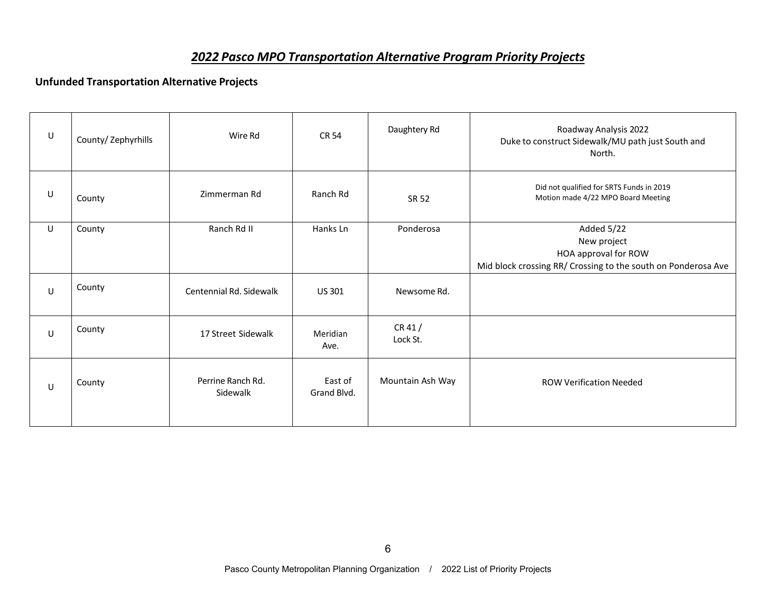### *2022 Pasco MPO Transportation Alternative Program Priority Projects*

#### **Unfunded Transportation Alternative Projects**

| U       | County/ Zephyrhills | Wire Rd                       | <b>CR 54</b>           | Daughtery Rd      | Roadway Analysis 2022<br>Duke to construct Sidewalk/MU path just South and<br>North.                               |
|---------|---------------------|-------------------------------|------------------------|-------------------|--------------------------------------------------------------------------------------------------------------------|
| U       | County              | Zimmerman Rd                  | Ranch Rd               | SR 52             | Did not qualified for SRTS Funds in 2019<br>Motion made 4/22 MPO Board Meeting                                     |
| $\sf U$ | County              | Ranch Rd II                   | Hanks Ln               | Ponderosa         | Added 5/22<br>New project<br>HOA approval for ROW<br>Mid block crossing RR/ Crossing to the south on Ponderosa Ave |
| U       | County              | Centennial Rd. Sidewalk       | US 301                 | Newsome Rd.       |                                                                                                                    |
| $\sf U$ | County              | 17 Street Sidewalk            | Meridian<br>Ave.       | CR41/<br>Lock St. |                                                                                                                    |
| U       | County              | Perrine Ranch Rd.<br>Sidewalk | East of<br>Grand Blvd. | Mountain Ash Way  | <b>ROW Verification Needed</b>                                                                                     |